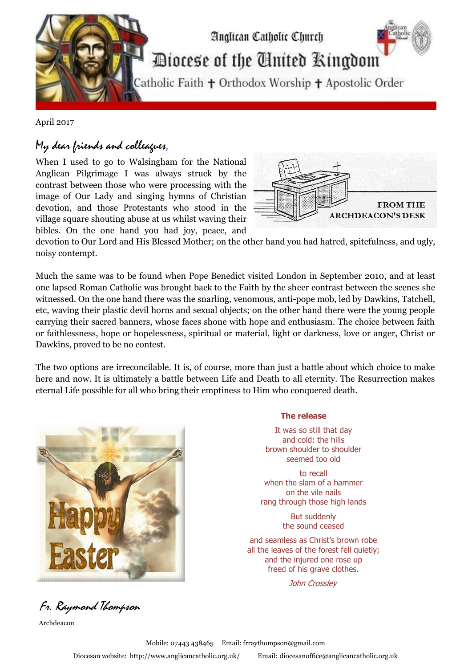

April 2017

## My dear friends and colleagues,

When I used to go to Walsingham for the National Anglican Pilgrimage I was always struck by the contrast between those who were processing with the image of Our Lady and singing hymns of Christian devotion, and those Protestants who stood in the village square shouting abuse at us whilst waving their bibles. On the one hand you had joy, peace, and



devotion to Our Lord and His Blessed Mother; on the other hand you had hatred, spitefulness, and ugly, noisy contempt.

Much the same was to be found when Pope Benedict visited London in September 2010, and at least one lapsed Roman Catholic was brought back to the Faith by the sheer contrast between the scenes she witnessed. On the one hand there was the snarling, venomous, anti-pope mob, led by Dawkins, Tatchell, etc, waving their plastic devil horns and sexual objects; on the other hand there were the young people carrying their sacred banners, whose faces shone with hope and enthusiasm. The choice between faith or faithlessness, hope or hopelessness, spiritual or material, light or darkness, love or anger, Christ or Dawkins, proved to be no contest.

The two options are irreconcilable. It is, of course, more than just a battle about which choice to make here and now. It is ultimately a battle between Life and Death to all eternity. The Resurrection makes eternal Life possible for all who bring their emptiness to Him who conquered death.



Fr. Raymond Thompson

Archdeacon

## **The release**

- It was so still that day and cold: the hills brown shoulder to shoulder seemed too old
- to recall when the slam of a hammer on the vile nails rang through those high lands

But suddenly the sound ceased

and seamless as Christ's brown robe all the leaves of the forest fell quietly; and the injured one rose up freed of his grave clothes.

John Crossley